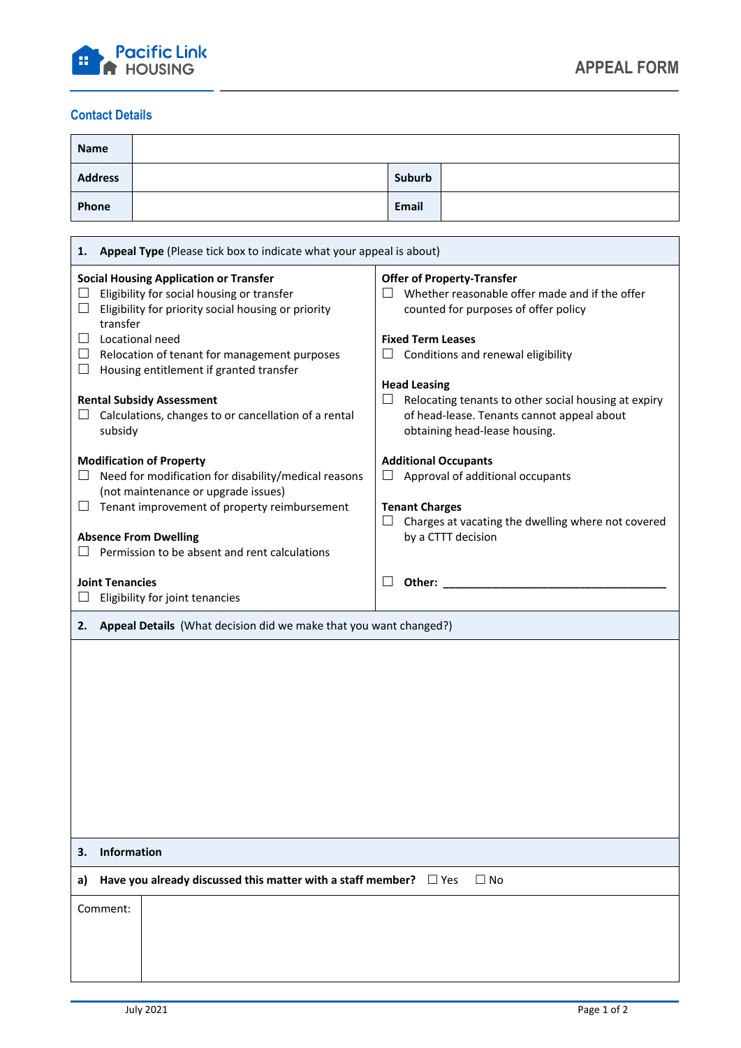

## **Contact Details**

| <b>Name</b>    |        |  |
|----------------|--------|--|
| <b>Address</b> | Suburb |  |
| Phone          | Email  |  |

|                                                                         | Appeal Type (Please tick box to indicate what your appeal is about)<br>1.                                                                                                                                                                |                                                                                                                                                                                                    |  |  |  |
|-------------------------------------------------------------------------|------------------------------------------------------------------------------------------------------------------------------------------------------------------------------------------------------------------------------------------|----------------------------------------------------------------------------------------------------------------------------------------------------------------------------------------------------|--|--|--|
| $\Box$<br>ப                                                             | <b>Social Housing Application or Transfer</b><br>Eligibility for social housing or transfer<br>Eligibility for priority social housing or priority<br>transfer<br>Locational need<br>$\Box$ Relocation of tenant for management purposes | <b>Offer of Property-Transfer</b><br>Whether reasonable offer made and if the offer<br>counted for purposes of offer policy<br><b>Fixed Term Leases</b><br>Conditions and renewal eligibility<br>ப |  |  |  |
| $\Box$                                                                  | Housing entitlement if granted transfer                                                                                                                                                                                                  |                                                                                                                                                                                                    |  |  |  |
| $\Box$                                                                  | <b>Rental Subsidy Assessment</b><br>Calculations, changes to or cancellation of a rental<br>subsidy                                                                                                                                      | <b>Head Leasing</b><br>Relocating tenants to other social housing at expiry<br>ப<br>of head-lease. Tenants cannot appeal about<br>obtaining head-lease housing.                                    |  |  |  |
|                                                                         | <b>Modification of Property</b><br><b>Additional Occupants</b>                                                                                                                                                                           |                                                                                                                                                                                                    |  |  |  |
| ப                                                                       | Need for modification for disability/medical reasons<br>(not maintenance or upgrade issues)                                                                                                                                              | Approval of additional occupants<br>ப                                                                                                                                                              |  |  |  |
| ப                                                                       | Tenant improvement of property reimbursement                                                                                                                                                                                             | <b>Tenant Charges</b><br>Charges at vacating the dwelling where not covered<br>⊔.                                                                                                                  |  |  |  |
|                                                                         | <b>Absence From Dwelling</b><br>Permission to be absent and rent calculations                                                                                                                                                            | by a CTTT decision                                                                                                                                                                                 |  |  |  |
| <b>Joint Tenancies</b>                                                  |                                                                                                                                                                                                                                          | Other: and the contract of the contract of the contract of the contract of the contract of the contract of the                                                                                     |  |  |  |
|                                                                         | Eligibility for joint tenancies                                                                                                                                                                                                          |                                                                                                                                                                                                    |  |  |  |
| Appeal Details (What decision did we make that you want changed?)<br>2. |                                                                                                                                                                                                                                          |                                                                                                                                                                                                    |  |  |  |
|                                                                         |                                                                                                                                                                                                                                          |                                                                                                                                                                                                    |  |  |  |
|                                                                         |                                                                                                                                                                                                                                          |                                                                                                                                                                                                    |  |  |  |
| 3.                                                                      | Information                                                                                                                                                                                                                              |                                                                                                                                                                                                    |  |  |  |
| a)                                                                      | Have you already discussed this matter with a staff member? $\Box$ Yes                                                                                                                                                                   | $\Box$ No                                                                                                                                                                                          |  |  |  |
| Comment:                                                                |                                                                                                                                                                                                                                          |                                                                                                                                                                                                    |  |  |  |